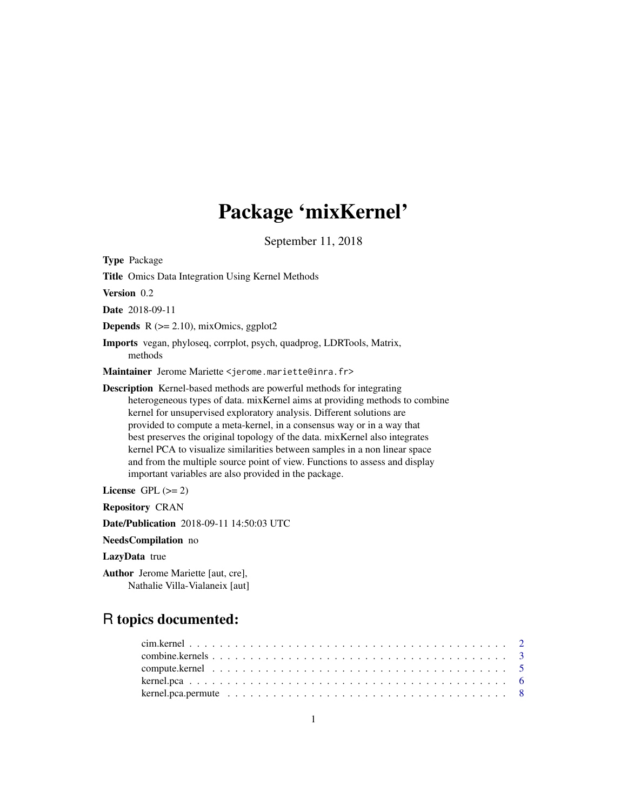## Package 'mixKernel'

September 11, 2018

<span id="page-0-0"></span>Type Package

Title Omics Data Integration Using Kernel Methods

Version 0.2

Date 2018-09-11

**Depends**  $R$  ( $>= 2.10$ ), mixOmics, ggplot2

Imports vegan, phyloseq, corrplot, psych, quadprog, LDRTools, Matrix, methods

Maintainer Jerome Mariette <jerome.mariette@inra.fr>

Description Kernel-based methods are powerful methods for integrating heterogeneous types of data. mixKernel aims at providing methods to combine kernel for unsupervised exploratory analysis. Different solutions are provided to compute a meta-kernel, in a consensus way or in a way that best preserves the original topology of the data. mixKernel also integrates kernel PCA to visualize similarities between samples in a non linear space and from the multiple source point of view. Functions to assess and display important variables are also provided in the package.

License GPL  $(>= 2)$ 

Repository CRAN

Date/Publication 2018-09-11 14:50:03 UTC

NeedsCompilation no

LazyData true

Author Jerome Mariette [aut, cre], Nathalie Villa-Vialaneix [aut]

### R topics documented:

| kernel.pca.permute $\ldots \ldots \ldots \ldots \ldots \ldots \ldots \ldots \ldots \ldots \ldots \ldots$ |  |  |  |  |  |  |  |  |  |  |  |  |  |  |  |  |  |  |
|----------------------------------------------------------------------------------------------------------|--|--|--|--|--|--|--|--|--|--|--|--|--|--|--|--|--|--|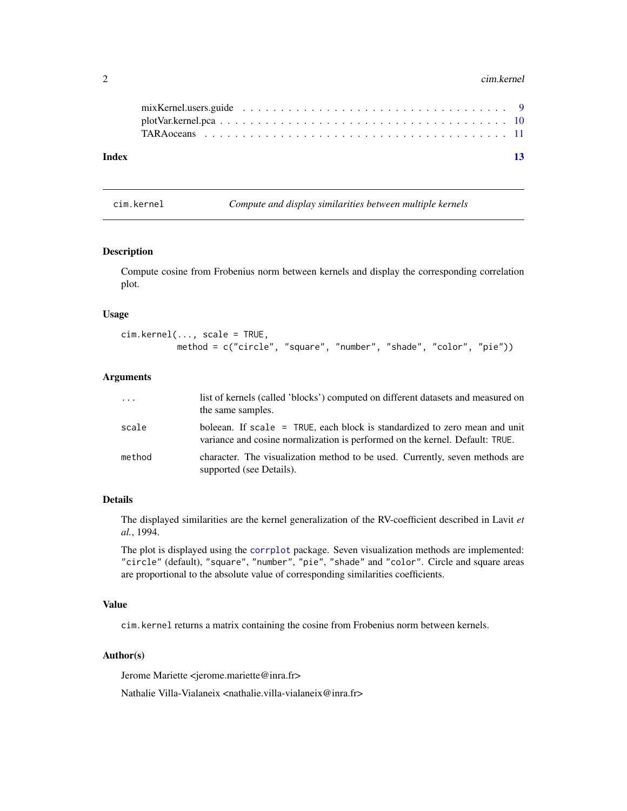#### <span id="page-1-0"></span>2 cim.kernel

| Index |  |  |  |  |  |  |  |  |  |  |  |  |  |  |  |  | -13 |
|-------|--|--|--|--|--|--|--|--|--|--|--|--|--|--|--|--|-----|
|       |  |  |  |  |  |  |  |  |  |  |  |  |  |  |  |  |     |
|       |  |  |  |  |  |  |  |  |  |  |  |  |  |  |  |  |     |

cim.kernel *Compute and display similarities between multiple kernels*

#### Description

Compute cosine from Frobenius norm between kernels and display the corresponding correlation plot.

#### Usage

```
cim.kernel(..., scale = TRUE,
          method = c("circle", "square", "number", "shade", "color", "pie"))
```
#### Arguments

| $\cdot$ | list of kernels (called 'blocks') computed on different datasets and measured on<br>the same samples.                                                      |
|---------|------------------------------------------------------------------------------------------------------------------------------------------------------------|
| scale   | boleean. If scale = TRUE, each block is standardized to zero mean and unit<br>variance and cosine normalization is performed on the kernel. Default: TRUE. |
| method  | character. The visualization method to be used. Currently, seven methods are<br>supported (see Details).                                                   |

#### Details

The displayed similarities are the kernel generalization of the RV-coefficient described in Lavit *et al.*, 1994.

The plot is displayed using the [corrplot](#page-0-0) package. Seven visualization methods are implemented: "circle" (default), "square", "number", "pie", "shade" and "color". Circle and square areas are proportional to the absolute value of corresponding similarities coefficients.

#### Value

cim.kernel returns a matrix containing the cosine from Frobenius norm between kernels.

#### Author(s)

Jerome Mariette <jerome.mariette@inra.fr>

Nathalie Villa-Vialaneix <nathalie.villa-vialaneix@inra.fr>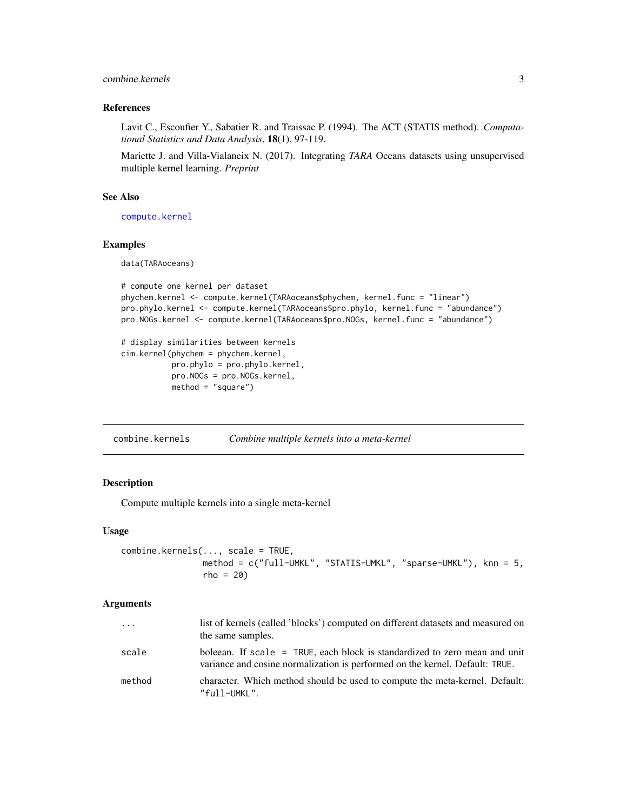#### <span id="page-2-0"></span>combine.kernels 3

#### References

Lavit C., Escoufier Y., Sabatier R. and Traissac P. (1994). The ACT (STATIS method). *Computational Statistics and Data Analysis*, 18(1), 97-119.

Mariette J. and Villa-Vialaneix N. (2017). Integrating *TARA* Oceans datasets using unsupervised multiple kernel learning. *Preprint*

#### See Also

[compute.kernel](#page-4-1)

#### Examples

data(TARAoceans)

```
# compute one kernel per dataset
phychem.kernel <- compute.kernel(TARAoceans$phychem, kernel.func = "linear")
pro.phylo.kernel <- compute.kernel(TARAoceans$pro.phylo, kernel.func = "abundance")
pro.NOGs.kernel <- compute.kernel(TARAoceans$pro.NOGs, kernel.func = "abundance")
# display similarities between kernels
cim.kernel(phychem = phychem.kernel,
```

```
pro.phylo = pro.phylo.kernel,
pro.NOGs = pro.NOGs.kernel,
method = "square")
```
<span id="page-2-1"></span>combine.kernels *Combine multiple kernels into a meta-kernel*

#### Description

Compute multiple kernels into a single meta-kernel

#### Usage

```
combine.kernels(..., scale = TRUE,
               method = c("full-UMKL", "STATIS-UMKL", "sparse-UMKL"), knn = 5,
               rho = 20
```
#### Arguments

| $\cdots$ | list of kernels (called 'blocks') computed on different datasets and measured on<br>the same samples.                                                      |
|----------|------------------------------------------------------------------------------------------------------------------------------------------------------------|
| scale    | boleean. If scale = TRUE, each block is standardized to zero mean and unit<br>variance and cosine normalization is performed on the kernel. Default: TRUE. |
| method   | character. Which method should be used to compute the meta-kernel. Default:<br>"full-UMKL".                                                                |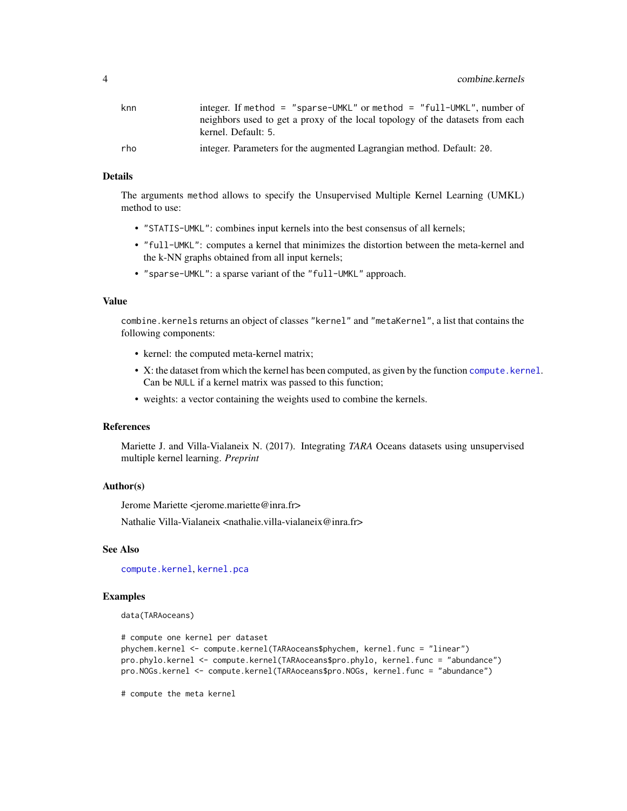<span id="page-3-0"></span>

| knn | integer. If method = "sparse-UMKL" or method = "full-UMKL", number of         |
|-----|-------------------------------------------------------------------------------|
|     | neighbors used to get a proxy of the local topology of the datasets from each |
|     | kernel. Default: 5.                                                           |
| rho | integer. Parameters for the augmented Lagrangian method. Default: 20.         |

#### Details

The arguments method allows to specify the Unsupervised Multiple Kernel Learning (UMKL) method to use:

- "STATIS-UMKL": combines input kernels into the best consensus of all kernels;
- "full-UMKL": computes a kernel that minimizes the distortion between the meta-kernel and the k-NN graphs obtained from all input kernels;
- "sparse-UMKL": a sparse variant of the "full-UMKL" approach.

#### Value

combine.kernels returns an object of classes "kernel" and "metaKernel", a list that contains the following components:

- kernel: the computed meta-kernel matrix;
- X: the dataset from which the kernel has been computed, as given by the function [compute.kernel](#page-4-1). Can be NULL if a kernel matrix was passed to this function;
- weights: a vector containing the weights used to combine the kernels.

#### References

Mariette J. and Villa-Vialaneix N. (2017). Integrating *TARA* Oceans datasets using unsupervised multiple kernel learning. *Preprint*

#### Author(s)

Jerome Mariette <jerome.mariette@inra.fr>

Nathalie Villa-Vialaneix <nathalie.villa-vialaneix@inra.fr>

#### See Also

[compute.kernel](#page-4-1), [kernel.pca](#page-5-1)

#### Examples

data(TARAoceans)

```
# compute one kernel per dataset
phychem.kernel <- compute.kernel(TARAoceans$phychem, kernel.func = "linear")
pro.phylo.kernel <- compute.kernel(TARAoceans$pro.phylo, kernel.func = "abundance")
pro.NOGs.kernel <- compute.kernel(TARAoceans$pro.NOGs, kernel.func = "abundance")
```
# compute the meta kernel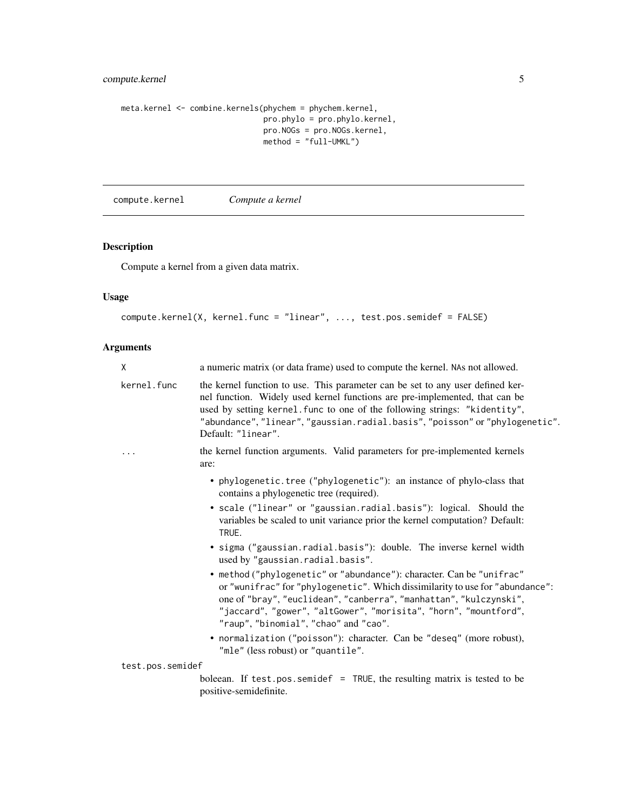#### <span id="page-4-0"></span>compute.kernel 5

```
meta.kernel <- combine.kernels(phychem = phychem.kernel,
                              pro.phylo = pro.phylo.kernel,
                              pro.NOGs = pro.NOGs.kernel,
                               method = "full-UMKL")
```
<span id="page-4-1"></span>compute.kernel *Compute a kernel*

#### Description

Compute a kernel from a given data matrix.

#### Usage

```
compute.kernel(X, kernel.func = "linear", ..., test.pos.semidef = FALSE)
```
#### Arguments

| X                | a numeric matrix (or data frame) used to compute the kernel. NAs not allowed.                                                                                                                                                                                                                                                                     |
|------------------|---------------------------------------------------------------------------------------------------------------------------------------------------------------------------------------------------------------------------------------------------------------------------------------------------------------------------------------------------|
| kernel.func      | the kernel function to use. This parameter can be set to any user defined ker-<br>nel function. Widely used kernel functions are pre-implemented, that can be<br>used by setting kernel. func to one of the following strings: "kidentity",<br>"abundance", "linear", "gaussian.radial.basis", "poisson" or "phylogenetic".<br>Default: "linear". |
| .                | the kernel function arguments. Valid parameters for pre-implemented kernels<br>are:                                                                                                                                                                                                                                                               |
|                  | • phylogenetic.tree ("phylogenetic"): an instance of phylo-class that<br>contains a phylogenetic tree (required).                                                                                                                                                                                                                                 |
|                  | • scale ("linear" or "gaussian.radial.basis"): logical. Should the<br>variables be scaled to unit variance prior the kernel computation? Default:<br>TRUE.                                                                                                                                                                                        |
|                  | • sigma ("gaussian.radial.basis"): double. The inverse kernel width<br>used by "gaussian.radial.basis".                                                                                                                                                                                                                                           |
|                  | • method ("phylogenetic" or "abundance"): character. Can be "unifrac"<br>or "wunifrac" for "phylogenetic". Which dissimilarity to use for "abundance":<br>one of "bray", "euclidean", "canberra", "manhattan", "kulczynski",<br>"jaccard", "gower", "altGower", "morisita", "horn", "mountford",<br>"raup", "binomial", "chao" and "cao".         |
|                  | • normalization ("poisson"): character. Can be "deseq" (more robust),<br>"mle" (less robust) or "quantile".                                                                                                                                                                                                                                       |
| test.pos.semidef |                                                                                                                                                                                                                                                                                                                                                   |
|                  | boleean. If test.pos.semidef $=$ TRUE, the resulting matrix is tested to be<br>positive-semidefinite.                                                                                                                                                                                                                                             |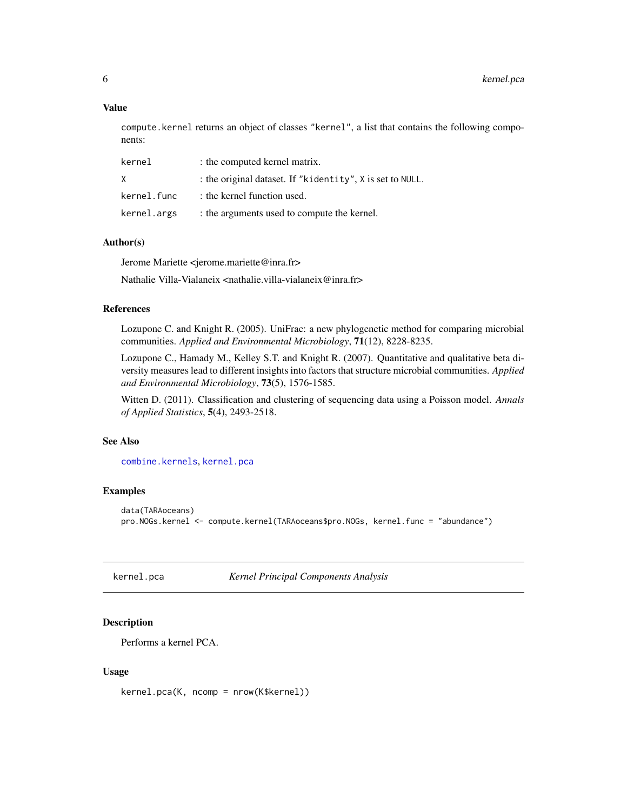#### <span id="page-5-0"></span>Value

compute.kernel returns an object of classes "kernel", a list that contains the following components:

| kernel      | : the computed kernel matrix.                             |
|-------------|-----------------------------------------------------------|
| X           | : the original dataset. If "kidentity", X is set to NULL. |
| kernel.func | : the kernel function used.                               |
| kernel.args | : the arguments used to compute the kernel.               |

#### Author(s)

Jerome Mariette <jerome.mariette@inra.fr>

Nathalie Villa-Vialaneix <nathalie.villa-vialaneix@inra.fr>

#### References

Lozupone C. and Knight R. (2005). UniFrac: a new phylogenetic method for comparing microbial communities. *Applied and Environmental Microbiology*, 71(12), 8228-8235.

Lozupone C., Hamady M., Kelley S.T. and Knight R. (2007). Quantitative and qualitative beta diversity measures lead to different insights into factors that structure microbial communities. *Applied and Environmental Microbiology*, 73(5), 1576-1585.

Witten D. (2011). Classification and clustering of sequencing data using a Poisson model. *Annals of Applied Statistics*, 5(4), 2493-2518.

#### See Also

[combine.kernels](#page-2-1), [kernel.pca](#page-5-1)

#### Examples

```
data(TARAoceans)
pro.NOGs.kernel <- compute.kernel(TARAoceans$pro.NOGs, kernel.func = "abundance")
```
<span id="page-5-1"></span>kernel.pca *Kernel Principal Components Analysis*

#### Description

Performs a kernel PCA.

#### Usage

kernel.pca(K, ncomp = nrow(K\$kernel))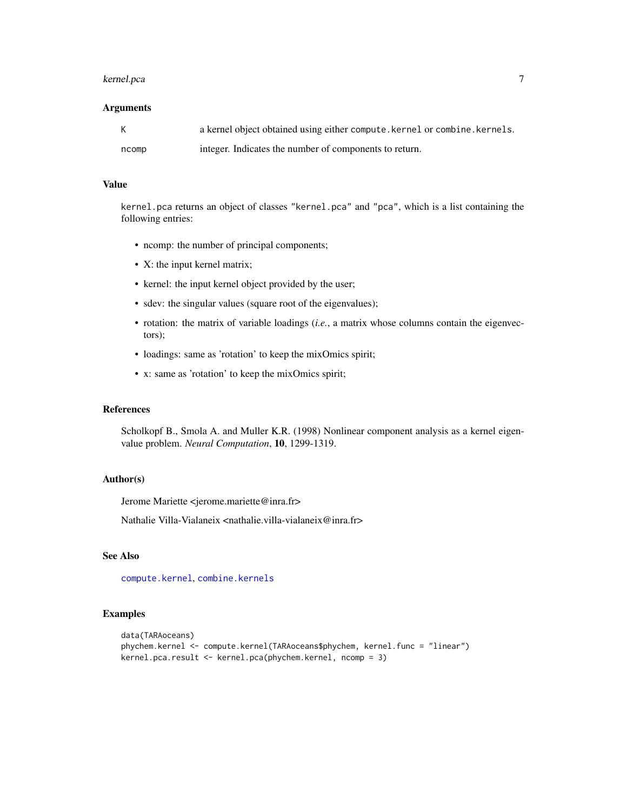#### <span id="page-6-0"></span>kernel.pca 7

#### Arguments

| K     | a kernel object obtained using either compute. kernel or combine. kernels. |
|-------|----------------------------------------------------------------------------|
| ncomp | integer. Indicates the number of components to return.                     |

#### Value

kernel.pca returns an object of classes "kernel.pca" and "pca", which is a list containing the following entries:

- ncomp: the number of principal components;
- X: the input kernel matrix;
- kernel: the input kernel object provided by the user;
- sdev: the singular values (square root of the eigenvalues);
- rotation: the matrix of variable loadings (*i.e.*, a matrix whose columns contain the eigenvectors);
- loadings: same as 'rotation' to keep the mixOmics spirit;
- x: same as 'rotation' to keep the mixOmics spirit;

#### References

Scholkopf B., Smola A. and Muller K.R. (1998) Nonlinear component analysis as a kernel eigenvalue problem. *Neural Computation*, 10, 1299-1319.

#### Author(s)

Jerome Mariette <jerome.mariette@inra.fr>

Nathalie Villa-Vialaneix <nathalie.villa-vialaneix@inra.fr>

#### See Also

[compute.kernel](#page-4-1), [combine.kernels](#page-2-1)

#### Examples

```
data(TARAoceans)
phychem.kernel <- compute.kernel(TARAoceans$phychem, kernel.func = "linear")
kernel.pca.result <- kernel.pca(phychem.kernel, ncomp = 3)
```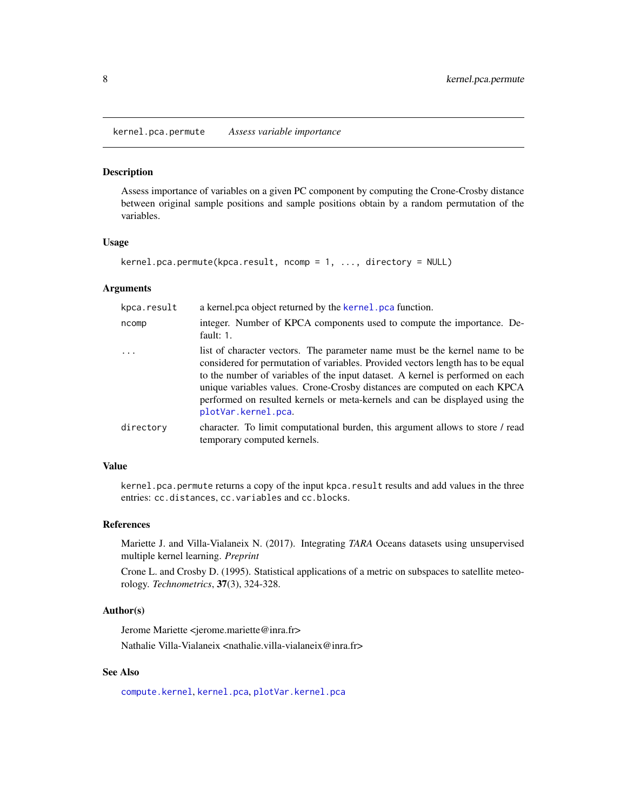<span id="page-7-1"></span><span id="page-7-0"></span>kernel.pca.permute *Assess variable importance*

#### Description

Assess importance of variables on a given PC component by computing the Crone-Crosby distance between original sample positions and sample positions obtain by a random permutation of the variables.

#### Usage

```
kernel.pca.permute(kpca.result, ncomp = 1, ..., directory = NULL)
```
#### Arguments

| kpca.result | a kernel pca object returned by the kernel. pca function.                                                                                                                                                                                                                                                                                                                                                                             |
|-------------|---------------------------------------------------------------------------------------------------------------------------------------------------------------------------------------------------------------------------------------------------------------------------------------------------------------------------------------------------------------------------------------------------------------------------------------|
| ncomp       | integer. Number of KPCA components used to compute the importance. De-<br>fault: 1.                                                                                                                                                                                                                                                                                                                                                   |
| $\ddotsc$   | list of character vectors. The parameter name must be the kernel name to be<br>considered for permutation of variables. Provided vectors length has to be equal<br>to the number of variables of the input dataset. A kernel is performed on each<br>unique variables values. Crone-Crosby distances are computed on each KPCA<br>performed on resulted kernels or meta-kernels and can be displayed using the<br>plotVar.kernel.pca. |
| directory   | character. To limit computational burden, this argument allows to store / read<br>temporary computed kernels.                                                                                                                                                                                                                                                                                                                         |

#### Value

kernel.pca.permute returns a copy of the input kpca.result results and add values in the three entries: cc.distances, cc.variables and cc.blocks.

#### References

Mariette J. and Villa-Vialaneix N. (2017). Integrating *TARA* Oceans datasets using unsupervised multiple kernel learning. *Preprint*

Crone L. and Crosby D. (1995). Statistical applications of a metric on subspaces to satellite meteorology. *Technometrics*, 37(3), 324-328.

#### Author(s)

Jerome Mariette <jerome.mariette@inra.fr>

Nathalie Villa-Vialaneix <nathalie.villa-vialaneix@inra.fr>

#### See Also

[compute.kernel](#page-4-1), [kernel.pca](#page-5-1), [plotVar.kernel.pca](#page-9-1)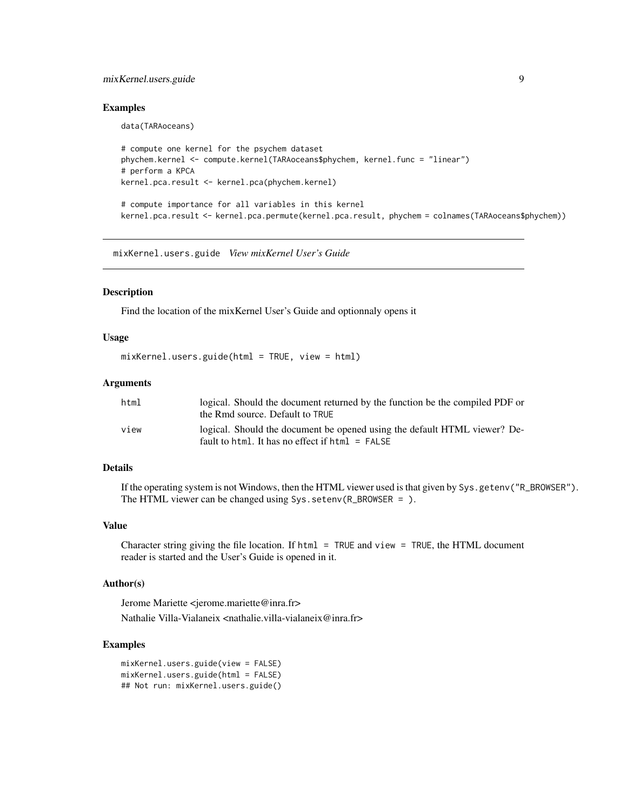#### <span id="page-8-0"></span>mixKernel.users.guide 9

#### Examples

data(TARAoceans)

```
# compute one kernel for the psychem dataset
phychem.kernel <- compute.kernel(TARAoceans$phychem, kernel.func = "linear")
# perform a KPCA
kernel.pca.result <- kernel.pca(phychem.kernel)
```
# compute importance for all variables in this kernel kernel.pca.result <- kernel.pca.permute(kernel.pca.result, phychem = colnames(TARAoceans\$phychem))

mixKernel.users.guide *View mixKernel User's Guide*

#### Description

Find the location of the mixKernel User's Guide and optionnaly opens it

#### Usage

mixKernel.users.guide(html = TRUE, view = html)

#### Arguments

| html | logical. Should the document returned by the function be the compiled PDF or<br>the Rmd source. Default to TRUE                |
|------|--------------------------------------------------------------------------------------------------------------------------------|
| view | logical. Should the document be opened using the default HTML viewer? De-<br>fault to html. It has no effect if $html = FALSE$ |

#### Details

If the operating system is not Windows, then the HTML viewer used is that given by Sys.getenv("R\_BROWSER"). The HTML viewer can be changed using Sys.setenv(R\_BROWSER = ).

#### Value

Character string giving the file location. If  $html = TRUE$  and view = TRUE, the HTML document reader is started and the User's Guide is opened in it.

#### Author(s)

Jerome Mariette <jerome.mariette@inra.fr>

Nathalie Villa-Vialaneix <nathalie.villa-vialaneix@inra.fr>

#### Examples

mixKernel.users.guide(view = FALSE) mixKernel.users.guide(html = FALSE) ## Not run: mixKernel.users.guide()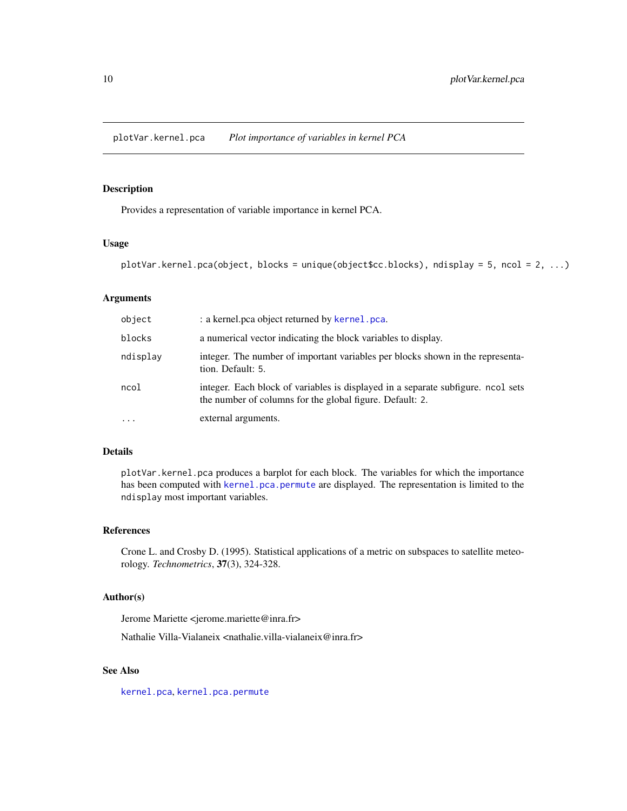<span id="page-9-1"></span><span id="page-9-0"></span>plotVar.kernel.pca *Plot importance of variables in kernel PCA*

#### Description

Provides a representation of variable importance in kernel PCA.

#### Usage

```
plotVar.kernel.pca(object, blocks = unique(object$cc.blocks), ndisplay = 5, ncol = 2, ...)
```
#### Arguments

| object   | : a kernel.pca object returned by kernel.pca.                                                                                                |
|----------|----------------------------------------------------------------------------------------------------------------------------------------------|
| blocks   | a numerical vector indicating the block variables to display.                                                                                |
| ndisplay | integer. The number of important variables per blocks shown in the representa-<br>tion. Default: 5.                                          |
| ncol     | integer. Each block of variables is displayed in a separate subfigure. ncol sets<br>the number of columns for the global figure. Default: 2. |
| $\cdot$  | external arguments.                                                                                                                          |

#### Details

plotVar.kernel.pca produces a barplot for each block. The variables for which the importance has been computed with [kernel.pca.permute](#page-7-1) are displayed. The representation is limited to the ndisplay most important variables.

#### References

Crone L. and Crosby D. (1995). Statistical applications of a metric on subspaces to satellite meteorology. *Technometrics*, 37(3), 324-328.

#### Author(s)

Jerome Mariette <jerome.mariette@inra.fr>

Nathalie Villa-Vialaneix <nathalie.villa-vialaneix@inra.fr>

#### See Also

[kernel.pca](#page-5-1), [kernel.pca.permute](#page-7-1)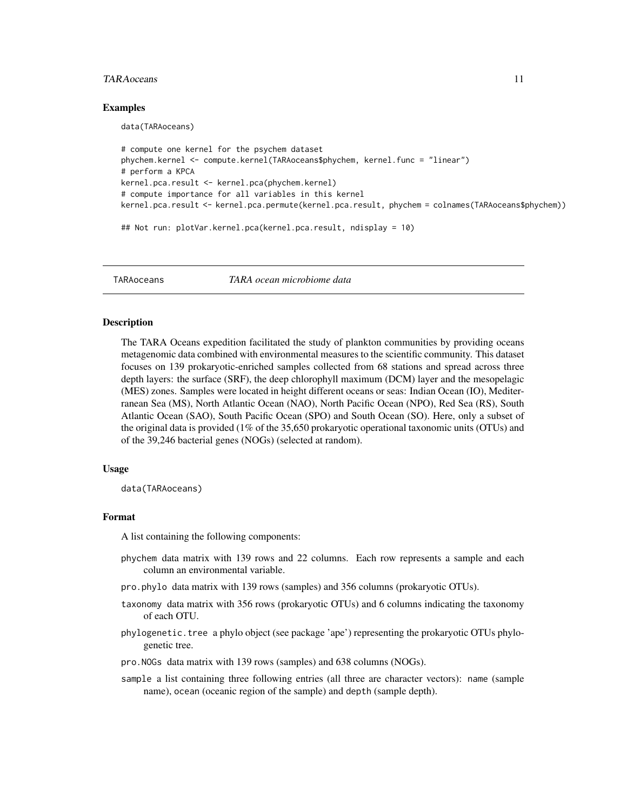#### <span id="page-10-0"></span>TARAoceans 11

#### Examples

data(TARAoceans)

```
# compute one kernel for the psychem dataset
phychem.kernel <- compute.kernel(TARAoceans$phychem, kernel.func = "linear")
# perform a KPCA
kernel.pca.result <- kernel.pca(phychem.kernel)
# compute importance for all variables in this kernel
kernel.pca.result <- kernel.pca.permute(kernel.pca.result, phychem = colnames(TARAoceans$phychem))
## Not run: plotVar.kernel.pca(kernel.pca.result, ndisplay = 10)
```
TARAoceans *TARA ocean microbiome data*

#### **Description**

The TARA Oceans expedition facilitated the study of plankton communities by providing oceans metagenomic data combined with environmental measures to the scientific community. This dataset focuses on 139 prokaryotic-enriched samples collected from 68 stations and spread across three depth layers: the surface (SRF), the deep chlorophyll maximum (DCM) layer and the mesopelagic (MES) zones. Samples were located in height different oceans or seas: Indian Ocean (IO), Mediterranean Sea (MS), North Atlantic Ocean (NAO), North Pacific Ocean (NPO), Red Sea (RS), South Atlantic Ocean (SAO), South Pacific Ocean (SPO) and South Ocean (SO). Here, only a subset of the original data is provided (1% of the 35,650 prokaryotic operational taxonomic units (OTUs) and of the 39,246 bacterial genes (NOGs) (selected at random).

#### Usage

data(TARAoceans)

#### Format

A list containing the following components:

- phychem data matrix with 139 rows and 22 columns. Each row represents a sample and each column an environmental variable.
- pro.phylo data matrix with 139 rows (samples) and 356 columns (prokaryotic OTUs).
- taxonomy data matrix with 356 rows (prokaryotic OTUs) and 6 columns indicating the taxonomy of each OTU.
- phylogenetic.tree a phylo object (see package 'ape') representing the prokaryotic OTUs phylogenetic tree.
- pro.NOGs data matrix with 139 rows (samples) and 638 columns (NOGs).
- sample a list containing three following entries (all three are character vectors): name (sample name), ocean (oceanic region of the sample) and depth (sample depth).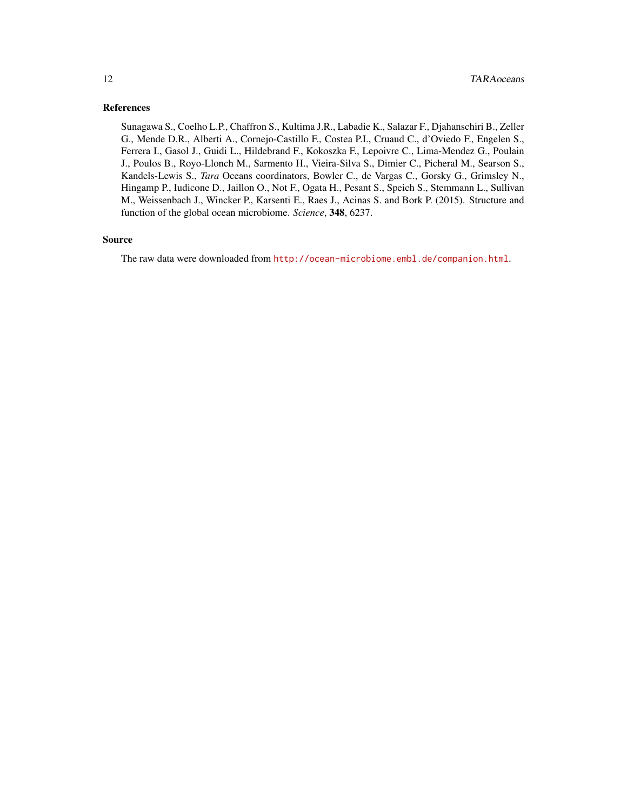#### References

Sunagawa S., Coelho L.P., Chaffron S., Kultima J.R., Labadie K., Salazar F., Djahanschiri B., Zeller G., Mende D.R., Alberti A., Cornejo-Castillo F., Costea P.I., Cruaud C., d'Oviedo F., Engelen S., Ferrera I., Gasol J., Guidi L., Hildebrand F., Kokoszka F., Lepoivre C., Lima-Mendez G., Poulain J., Poulos B., Royo-Llonch M., Sarmento H., Vieira-Silva S., Dimier C., Picheral M., Searson S., Kandels-Lewis S., *Tara* Oceans coordinators, Bowler C., de Vargas C., Gorsky G., Grimsley N., Hingamp P., Iudicone D., Jaillon O., Not F., Ogata H., Pesant S., Speich S., Stemmann L., Sullivan M., Weissenbach J., Wincker P., Karsenti E., Raes J., Acinas S. and Bork P. (2015). Structure and function of the global ocean microbiome. *Science*, 348, 6237.

#### Source

The raw data were downloaded from <http://ocean-microbiome.embl.de/companion.html>.